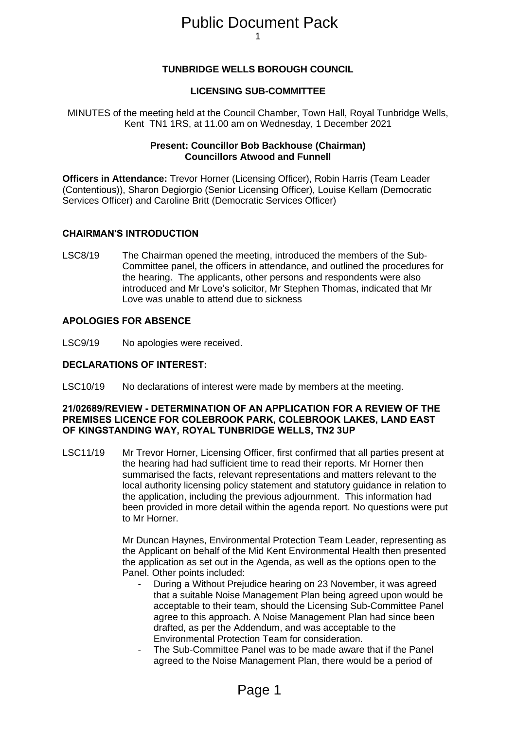# 1 Public Document Pack

# **TUNBRIDGE WELLS BOROUGH COUNCIL**

# **LICENSING SUB-COMMITTEE**

MINUTES of the meeting held at the Council Chamber, Town Hall, Royal Tunbridge Wells, Kent TN1 1RS, at 11.00 am on Wednesday, 1 December 2021

# **Present: Councillor Bob Backhouse (Chairman) Councillors Atwood and Funnell**

**Officers in Attendance:** Trevor Horner (Licensing Officer), Robin Harris (Team Leader (Contentious)), Sharon Degiorgio (Senior Licensing Officer), Louise Kellam (Democratic Services Officer) and Caroline Britt (Democratic Services Officer)

# **CHAIRMAN'S INTRODUCTION**

LSC8/19 The Chairman opened the meeting, introduced the members of the Sub-Committee panel, the officers in attendance, and outlined the procedures for the hearing. The applicants, other persons and respondents were also introduced and Mr Love's solicitor, Mr Stephen Thomas, indicated that Mr Love was unable to attend due to sickness

# **APOLOGIES FOR ABSENCE**

LSC9/19 No apologies were received.

# **DECLARATIONS OF INTEREST:**

LSC10/19 No declarations of interest were made by members at the meeting.

# **21/02689/REVIEW - DETERMINATION OF AN APPLICATION FOR A REVIEW OF THE PREMISES LICENCE FOR COLEBROOK PARK, COLEBROOK LAKES, LAND EAST OF KINGSTANDING WAY, ROYAL TUNBRIDGE WELLS, TN2 3UP**

LSC11/19 Mr Trevor Horner, Licensing Officer, first confirmed that all parties present at the hearing had had sufficient time to read their reports. Mr Horner then summarised the facts, relevant representations and matters relevant to the local authority licensing policy statement and statutory guidance in relation to the application, including the previous adjournment. This information had been provided in more detail within the agenda report. No questions were put to Mr Horner.

> Mr Duncan Haynes, Environmental Protection Team Leader, representing as the Applicant on behalf of the Mid Kent Environmental Health then presented the application as set out in the Agenda, as well as the options open to the Panel. Other points included:

- During a Without Prejudice hearing on 23 November, it was agreed that a suitable Noise Management Plan being agreed upon would be acceptable to their team, should the Licensing Sub-Committee Panel agree to this approach. A Noise Management Plan had since been drafted, as per the Addendum, and was acceptable to the Environmental Protection Team for consideration.
- The Sub-Committee Panel was to be made aware that if the Panel agreed to the Noise Management Plan, there would be a period of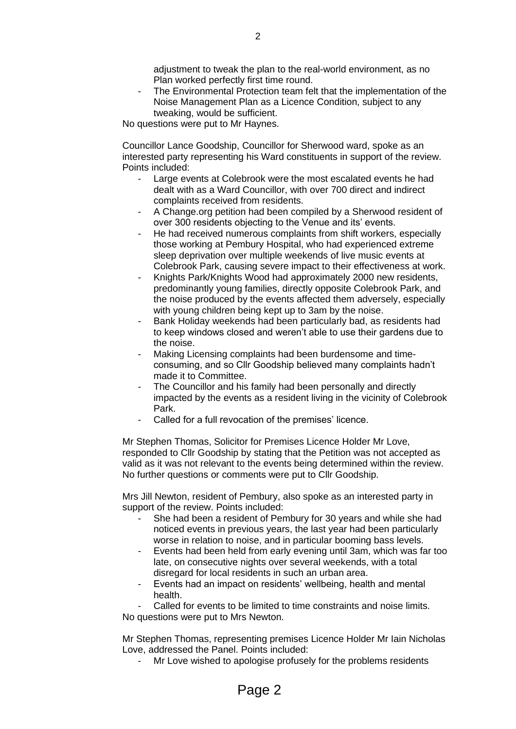adjustment to tweak the plan to the real-world environment, as no Plan worked perfectly first time round.

The Environmental Protection team felt that the implementation of the Noise Management Plan as a Licence Condition, subject to any tweaking, would be sufficient.

No questions were put to Mr Haynes.

Councillor Lance Goodship, Councillor for Sherwood ward, spoke as an interested party representing his Ward constituents in support of the review. Points included:

- Large events at Colebrook were the most escalated events he had dealt with as a Ward Councillor, with over 700 direct and indirect complaints received from residents.
- A Change.org petition had been compiled by a Sherwood resident of over 300 residents objecting to the Venue and its' events.
- He had received numerous complaints from shift workers, especially those working at Pembury Hospital, who had experienced extreme sleep deprivation over multiple weekends of live music events at Colebrook Park, causing severe impact to their effectiveness at work.
- Knights Park/Knights Wood had approximately 2000 new residents, predominantly young families, directly opposite Colebrook Park, and the noise produced by the events affected them adversely, especially with young children being kept up to 3am by the noise.
- Bank Holiday weekends had been particularly bad, as residents had to keep windows closed and weren't able to use their gardens due to the noise.
- Making Licensing complaints had been burdensome and timeconsuming, and so Cllr Goodship believed many complaints hadn't made it to Committee.
- The Councillor and his family had been personally and directly impacted by the events as a resident living in the vicinity of Colebrook Park.
- Called for a full revocation of the premises' licence.

Mr Stephen Thomas, Solicitor for Premises Licence Holder Mr Love, responded to Cllr Goodship by stating that the Petition was not accepted as valid as it was not relevant to the events being determined within the review. No further questions or comments were put to Cllr Goodship.

Mrs Jill Newton, resident of Pembury, also spoke as an interested party in support of the review. Points included:

- She had been a resident of Pembury for 30 years and while she had noticed events in previous years, the last year had been particularly worse in relation to noise, and in particular booming bass levels.
- Events had been held from early evening until 3am, which was far too late, on consecutive nights over several weekends, with a total disregard for local residents in such an urban area.
- Events had an impact on residents' wellbeing, health and mental health.

Called for events to be limited to time constraints and noise limits. No questions were put to Mrs Newton.

Mr Stephen Thomas, representing premises Licence Holder Mr Iain Nicholas Love, addressed the Panel. Points included:

Mr Love wished to apologise profusely for the problems residents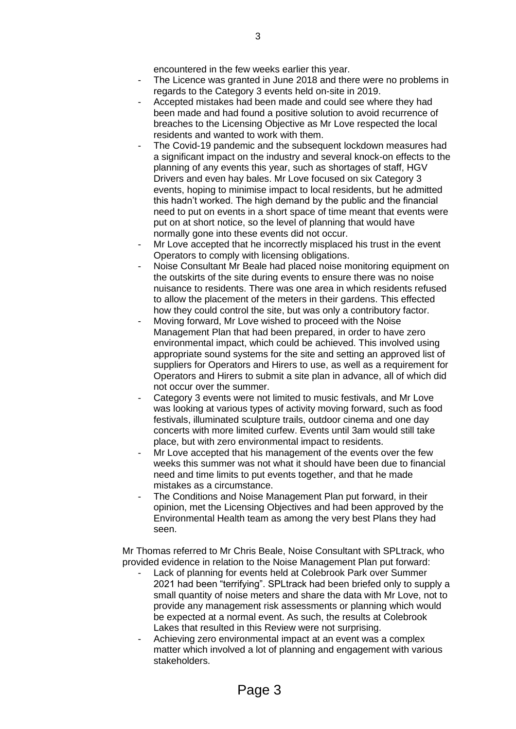encountered in the few weeks earlier this year.

- The Licence was granted in June 2018 and there were no problems in regards to the Category 3 events held on-site in 2019.
- Accepted mistakes had been made and could see where they had been made and had found a positive solution to avoid recurrence of breaches to the Licensing Objective as Mr Love respected the local residents and wanted to work with them.
- The Covid-19 pandemic and the subsequent lockdown measures had a significant impact on the industry and several knock-on effects to the planning of any events this year, such as shortages of staff, HGV Drivers and even hay bales. Mr Love focused on six Category 3 events, hoping to minimise impact to local residents, but he admitted this hadn't worked. The high demand by the public and the financial need to put on events in a short space of time meant that events were put on at short notice, so the level of planning that would have normally gone into these events did not occur.
- Mr Love accepted that he incorrectly misplaced his trust in the event Operators to comply with licensing obligations.
- Noise Consultant Mr Beale had placed noise monitoring equipment on the outskirts of the site during events to ensure there was no noise nuisance to residents. There was one area in which residents refused to allow the placement of the meters in their gardens. This effected how they could control the site, but was only a contributory factor.
- Moving forward, Mr Love wished to proceed with the Noise Management Plan that had been prepared, in order to have zero environmental impact, which could be achieved. This involved using appropriate sound systems for the site and setting an approved list of suppliers for Operators and Hirers to use, as well as a requirement for Operators and Hirers to submit a site plan in advance, all of which did not occur over the summer.
- Category 3 events were not limited to music festivals, and Mr Love was looking at various types of activity moving forward, such as food festivals, illuminated sculpture trails, outdoor cinema and one day concerts with more limited curfew. Events until 3am would still take place, but with zero environmental impact to residents.
- Mr Love accepted that his management of the events over the few weeks this summer was not what it should have been due to financial need and time limits to put events together, and that he made mistakes as a circumstance.
- The Conditions and Noise Management Plan put forward, in their opinion, met the Licensing Objectives and had been approved by the Environmental Health team as among the very best Plans they had seen.

Mr Thomas referred to Mr Chris Beale, Noise Consultant with SPLtrack, who provided evidence in relation to the Noise Management Plan put forward:

- Lack of planning for events held at Colebrook Park over Summer 2021 had been "terrifying". SPLtrack had been briefed only to supply a small quantity of noise meters and share the data with Mr Love, not to provide any management risk assessments or planning which would be expected at a normal event. As such, the results at Colebrook Lakes that resulted in this Review were not surprising.
- Achieving zero environmental impact at an event was a complex matter which involved a lot of planning and engagement with various stakeholders.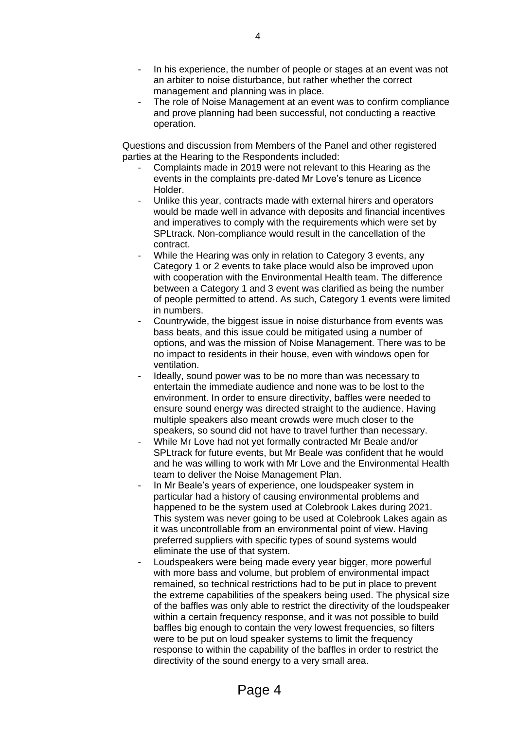- In his experience, the number of people or stages at an event was not an arbiter to noise disturbance, but rather whether the correct management and planning was in place.
- The role of Noise Management at an event was to confirm compliance and prove planning had been successful, not conducting a reactive operation.

Questions and discussion from Members of the Panel and other registered parties at the Hearing to the Respondents included:

- Complaints made in 2019 were not relevant to this Hearing as the events in the complaints pre-dated Mr Love's tenure as Licence Holder.
- Unlike this year, contracts made with external hirers and operators would be made well in advance with deposits and financial incentives and imperatives to comply with the requirements which were set by SPLtrack. Non-compliance would result in the cancellation of the contract.
- While the Hearing was only in relation to Category 3 events, any Category 1 or 2 events to take place would also be improved upon with cooperation with the Environmental Health team. The difference between a Category 1 and 3 event was clarified as being the number of people permitted to attend. As such, Category 1 events were limited in numbers.
- Countrywide, the biggest issue in noise disturbance from events was bass beats, and this issue could be mitigated using a number of options, and was the mission of Noise Management. There was to be no impact to residents in their house, even with windows open for ventilation.
- Ideally, sound power was to be no more than was necessary to entertain the immediate audience and none was to be lost to the environment. In order to ensure directivity, baffles were needed to ensure sound energy was directed straight to the audience. Having multiple speakers also meant crowds were much closer to the speakers, so sound did not have to travel further than necessary.
- While Mr Love had not yet formally contracted Mr Beale and/or SPLtrack for future events, but Mr Beale was confident that he would and he was willing to work with Mr Love and the Environmental Health team to deliver the Noise Management Plan.
- In Mr Beale's years of experience, one loudspeaker system in particular had a history of causing environmental problems and happened to be the system used at Colebrook Lakes during 2021. This system was never going to be used at Colebrook Lakes again as it was uncontrollable from an environmental point of view. Having preferred suppliers with specific types of sound systems would eliminate the use of that system.
- Loudspeakers were being made every year bigger, more powerful with more bass and volume, but problem of environmental impact remained, so technical restrictions had to be put in place to prevent the extreme capabilities of the speakers being used. The physical size of the baffles was only able to restrict the directivity of the loudspeaker within a certain frequency response, and it was not possible to build baffles big enough to contain the very lowest frequencies, so filters were to be put on loud speaker systems to limit the frequency response to within the capability of the baffles in order to restrict the directivity of the sound energy to a very small area.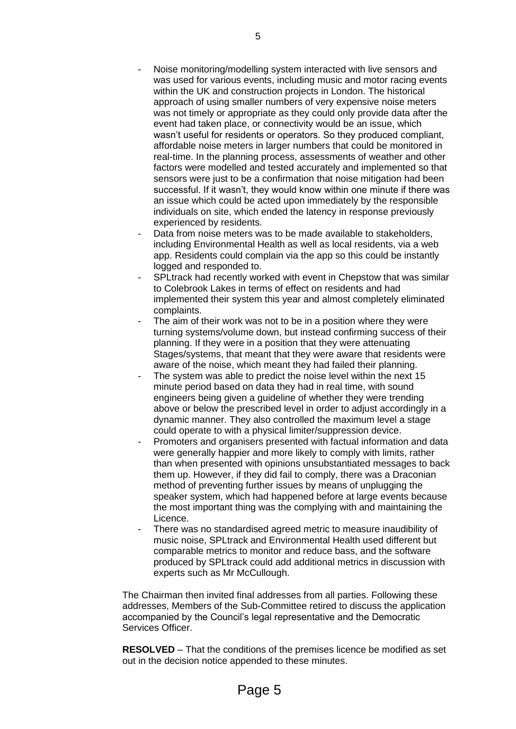- Noise monitoring/modelling system interacted with live sensors and was used for various events, including music and motor racing events within the UK and construction projects in London. The historical approach of using smaller numbers of very expensive noise meters was not timely or appropriate as they could only provide data after the event had taken place, or connectivity would be an issue, which wasn't useful for residents or operators. So they produced compliant, affordable noise meters in larger numbers that could be monitored in real-time. In the planning process, assessments of weather and other factors were modelled and tested accurately and implemented so that sensors were just to be a confirmation that noise mitigation had been successful. If it wasn't, they would know within one minute if there was an issue which could be acted upon immediately by the responsible individuals on site, which ended the latency in response previously experienced by residents.
- Data from noise meters was to be made available to stakeholders, including Environmental Health as well as local residents, via a web app. Residents could complain via the app so this could be instantly logged and responded to.
- SPL track had recently worked with event in Chepstow that was similar to Colebrook Lakes in terms of effect on residents and had implemented their system this year and almost completely eliminated complaints.
- The aim of their work was not to be in a position where they were turning systems/volume down, but instead confirming success of their planning. If they were in a position that they were attenuating Stages/systems, that meant that they were aware that residents were aware of the noise, which meant they had failed their planning.
- The system was able to predict the noise level within the next 15 minute period based on data they had in real time, with sound engineers being given a guideline of whether they were trending above or below the prescribed level in order to adjust accordingly in a dynamic manner. They also controlled the maximum level a stage could operate to with a physical limiter/suppression device.
- Promoters and organisers presented with factual information and data were generally happier and more likely to comply with limits, rather than when presented with opinions unsubstantiated messages to back them up. However, if they did fail to comply, there was a Draconian method of preventing further issues by means of unplugging the speaker system, which had happened before at large events because the most important thing was the complying with and maintaining the Licence.
- There was no standardised agreed metric to measure inaudibility of music noise, SPLtrack and Environmental Health used different but comparable metrics to monitor and reduce bass, and the software produced by SPLtrack could add additional metrics in discussion with experts such as Mr McCullough.

The Chairman then invited final addresses from all parties. Following these addresses, Members of the Sub-Committee retired to discuss the application accompanied by the Council's legal representative and the Democratic Services Officer.

**RESOLVED** – That the conditions of the premises licence be modified as set out in the decision notice appended to these minutes.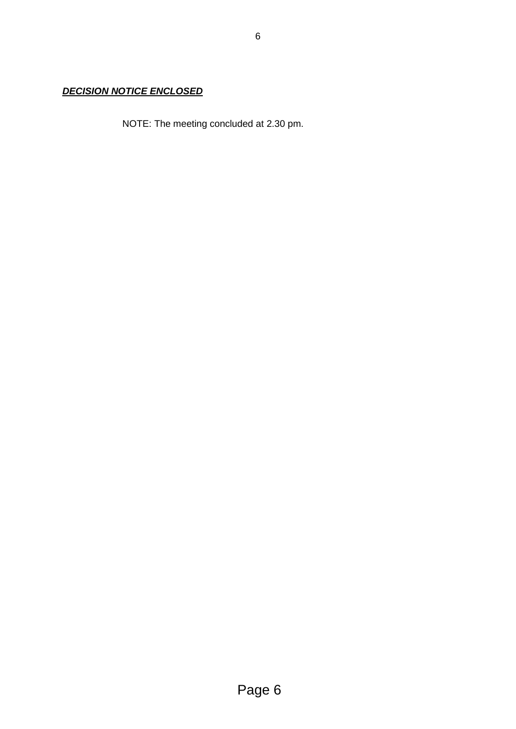# *DECISION NOTICE ENCLOSED*

NOTE: The meeting concluded at 2.30 pm.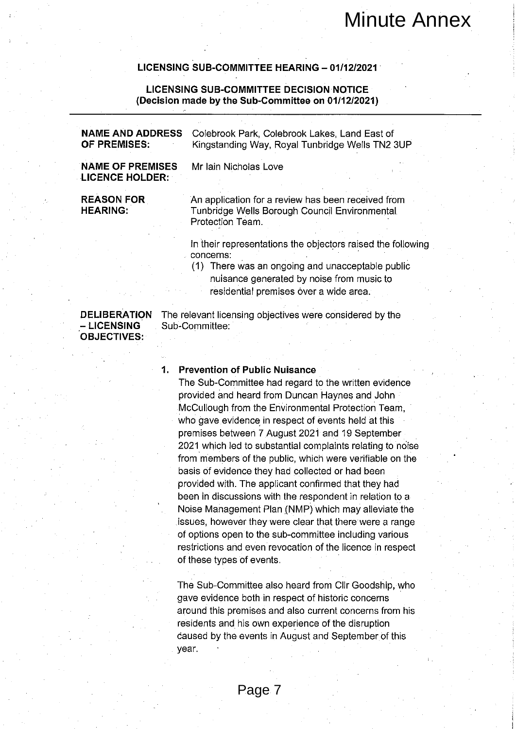|                                                                                                      | LICENSING SUB-COMMITTEE HEARING - 01/12/2021                                                                                                         |  |
|------------------------------------------------------------------------------------------------------|------------------------------------------------------------------------------------------------------------------------------------------------------|--|
| <b>LICENSING SUB-COMMITTEE DECISION NOTICE</b><br>(Decision made by the Sub-Committee on 01/12/2021) |                                                                                                                                                      |  |
| <b>NAME AND ADDRESS</b><br>OF PREMISES:                                                              | Colebrook Park, Colebrook Lakes, Land East of<br>Kingstanding Way, Royal Tunbridge Wells TN2 3UP                                                     |  |
| <b>NAME OF PREMISES</b><br><b>LICENCE HOLDER:</b>                                                    | Mr Iain Nicholas Love                                                                                                                                |  |
| <b>REASON FOR</b><br><b>HEARING:</b>                                                                 | An application for a review has been received from<br>Tunbridge Wells Borough Council Environmental<br>Protection Team.                              |  |
|                                                                                                      | In their representations the objectors raised the following                                                                                          |  |
|                                                                                                      | concerns:<br>(1) There was an ongoing and unacceptable public<br>nuisance generated by noise from music to<br>residential premises over a wide area. |  |
| <b>DELIBERATION</b><br><b>- LICENSING</b><br><b>OBJECTIVES:</b>                                      | The relevant licensing objectives were considered by the<br>Sub-Committee:                                                                           |  |
|                                                                                                      |                                                                                                                                                      |  |
| 1.                                                                                                   | <b>Prevention of Public Nuisance</b>                                                                                                                 |  |
|                                                                                                      | The Sub-Committee had regard to the written evidence                                                                                                 |  |
|                                                                                                      | provided and heard from Duncan Haynes and John                                                                                                       |  |
|                                                                                                      | McCullough from the Environmental Protection Team,                                                                                                   |  |
|                                                                                                      | who gave evidence in respect of events held at this                                                                                                  |  |
|                                                                                                      | premises between 7 August 2021 and 19 September                                                                                                      |  |
|                                                                                                      | 2021 which led to substantial complaints relating to noise                                                                                           |  |
|                                                                                                      | from members of the public, which were verifiable on the                                                                                             |  |
|                                                                                                      | basis of evidence they had collected or had been<br>provided with. The applicant confirmed that they had                                             |  |
|                                                                                                      | been in discussions with the respondent in relation to a                                                                                             |  |
|                                                                                                      | Noise Management Plan (NMP) which may alleviate the                                                                                                  |  |
|                                                                                                      | issues, however they were clear that there were a range                                                                                              |  |
|                                                                                                      | of options open to the sub-committee including various                                                                                               |  |
|                                                                                                      | restrictions and even revocation of the licence in respect                                                                                           |  |
|                                                                                                      | of these types of events.                                                                                                                            |  |
|                                                                                                      |                                                                                                                                                      |  |
|                                                                                                      | The Sub-Committee also heard from Clir Goodship, who                                                                                                 |  |
|                                                                                                      | gave evidence both in respect of historic concerns                                                                                                   |  |
|                                                                                                      | around this premises and also current concerns from his                                                                                              |  |
|                                                                                                      | residents and his own experience of the disruption                                                                                                   |  |
|                                                                                                      | caused by the events in August and September of this                                                                                                 |  |
|                                                                                                      | year.                                                                                                                                                |  |
|                                                                                                      |                                                                                                                                                      |  |
|                                                                                                      |                                                                                                                                                      |  |
|                                                                                                      | Page 7                                                                                                                                               |  |

# $1<sub>1</sub>$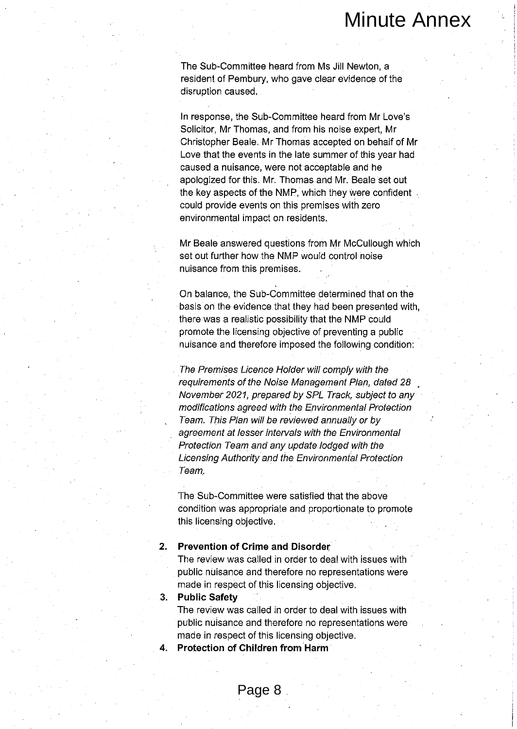Minute Annex<br>
mittee heard from Ms Jill Newton, a<br>
methour, who gave clear evidence of the<br>
he Sub-Committee heard from Mr Lows<br>
he Sub-Committee heard from Mr Lows<br>
recent Mr<br>
exerts and from his noise expect An<br>
exerts i

Team,

## $2<sub>1</sub>$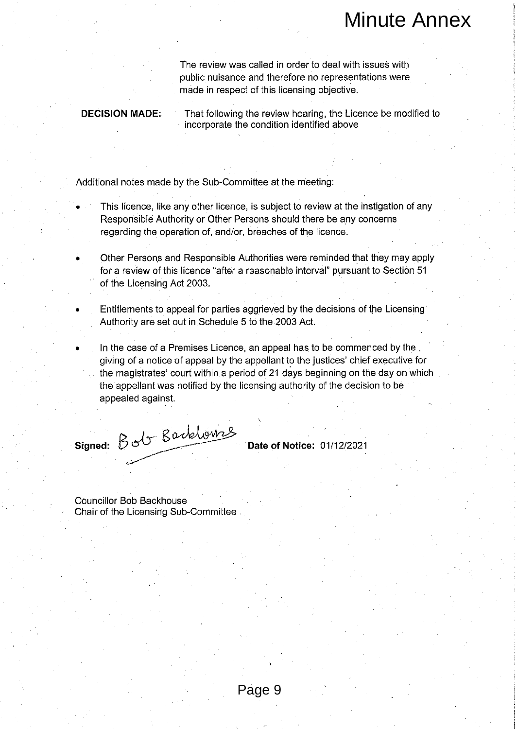# **DECISION MADE:**

- 
- of the Licensing Act 2003.
- 
- Minute Annex<br>
as called in order to deal with issues with<br>
es and therefore no representations were<br>
es of this licensing objective.<br>
g the review hearing the Licence be modified to<br>
the condition identified above<br>
members appealed against.

signed: Bob Barkhounes

**Councillor Bob Backhouse**